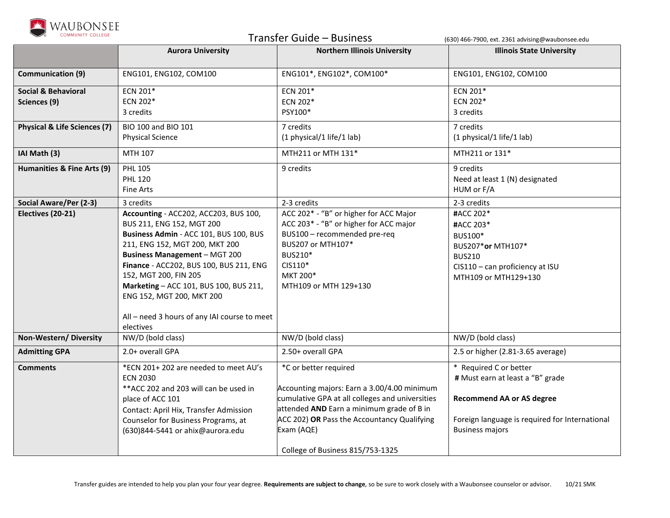

Transfer Guide – Business (630) 466-7900, ext. 2361 advising@waubonsee.edu

|                                         | <b>Aurora University</b>                     | <b>Northern Illinois University</b>             | <b>Illinois State University</b>               |
|-----------------------------------------|----------------------------------------------|-------------------------------------------------|------------------------------------------------|
|                                         |                                              |                                                 |                                                |
| <b>Communication (9)</b>                | ENG101, ENG102, COM100                       | ENG101*, ENG102*, COM100*                       | ENG101, ENG102, COM100                         |
| <b>Social &amp; Behavioral</b>          | ECN 201*                                     | ECN 201*                                        | ECN 201*                                       |
| Sciences (9)                            | ECN 202*                                     | ECN 202*                                        | ECN 202*                                       |
|                                         | 3 credits                                    | PSY100*                                         | 3 credits                                      |
| <b>Physical &amp; Life Sciences (7)</b> | BIO 100 and BIO 101                          | 7 credits                                       | 7 credits                                      |
|                                         | <b>Physical Science</b>                      | (1 physical/1 life/1 lab)                       | (1 physical/1 life/1 lab)                      |
| IAI Math (3)                            | MTH 107                                      | MTH211 or MTH 131*                              | MTH211 or 131*                                 |
| Humanities & Fine Arts (9)              | <b>PHL 105</b>                               | 9 credits                                       | 9 credits                                      |
|                                         | <b>PHL 120</b>                               |                                                 | Need at least 1 (N) designated                 |
|                                         | <b>Fine Arts</b>                             |                                                 | HUM or F/A                                     |
| Social Aware/Per (2-3)                  | 3 credits                                    | 2-3 credits                                     | 2-3 credits                                    |
| Electives (20-21)                       | Accounting - ACC202, ACC203, BUS 100,        | ACC 202* - "B" or higher for ACC Major          | #ACC 202*                                      |
|                                         | BUS 211, ENG 152, MGT 200                    | ACC 203* - "B" or higher for ACC major          | #ACC 203*                                      |
|                                         | Business Admin - ACC 101, BUS 100, BUS       | BUS100 - recommended pre-req                    | BUS100*                                        |
|                                         | 211, ENG 152, MGT 200, MKT 200               | BUS207 or MTH107*                               | BUS207*or MTH107*                              |
|                                         | <b>Business Management - MGT 200</b>         | BUS210*                                         | <b>BUS210</b>                                  |
|                                         | Finance - ACC202, BUS 100, BUS 211, ENG      | CIS110*                                         | CIS110 - can proficiency at ISU                |
|                                         | 152, MGT 200, FIN 205                        | MKT 200*                                        | MTH109 or MTH129+130                           |
|                                         | Marketing - ACC 101, BUS 100, BUS 211,       | MTH109 or MTH 129+130                           |                                                |
|                                         | ENG 152, MGT 200, MKT 200                    |                                                 |                                                |
|                                         | All - need 3 hours of any IAI course to meet |                                                 |                                                |
|                                         | electives                                    |                                                 |                                                |
| Non-Western/Diversity                   | NW/D (bold class)                            | NW/D (bold class)                               | NW/D (bold class)                              |
| <b>Admitting GPA</b>                    | 2.0+ overall GPA                             | 2.50+ overall GPA                               | 2.5 or higher (2.81-3.65 average)              |
| <b>Comments</b>                         | *ECN 201+202 are needed to meet AU's         | *C or better required                           | * Required C or better                         |
|                                         | <b>ECN 2030</b>                              |                                                 | # Must earn at least a "B" grade               |
|                                         | ** ACC 202 and 203 will can be used in       | Accounting majors: Earn a 3.00/4.00 minimum     |                                                |
|                                         | place of ACC 101                             | cumulative GPA at all colleges and universities | <b>Recommend AA or AS degree</b>               |
|                                         | Contact: April Hix, Transfer Admission       | attended AND Earn a minimum grade of B in       |                                                |
|                                         | Counselor for Business Programs, at          | ACC 202) OR Pass the Accountancy Qualifying     | Foreign language is required for International |
|                                         | (630)844-5441 or ahix@aurora.edu             | Exam (AQE)                                      | <b>Business majors</b>                         |
|                                         |                                              | College of Business 815/753-1325                |                                                |
|                                         |                                              |                                                 |                                                |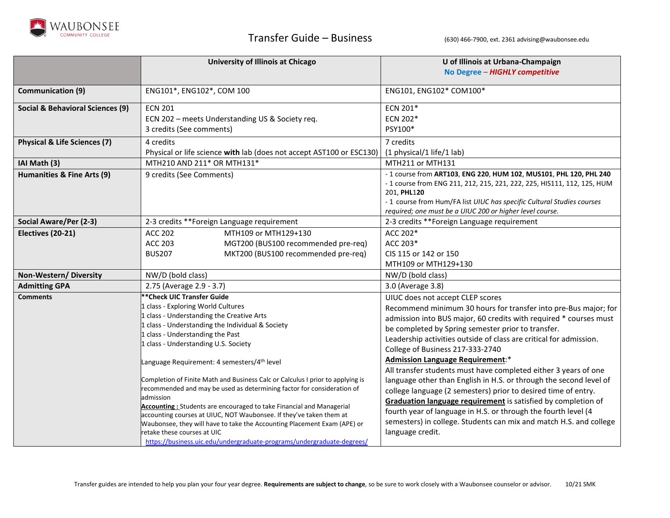

|                                             | University of Illinois at Chicago                                                                                                               | U of Illinois at Urbana-Champaign                                                                                                     |
|---------------------------------------------|-------------------------------------------------------------------------------------------------------------------------------------------------|---------------------------------------------------------------------------------------------------------------------------------------|
|                                             |                                                                                                                                                 | No Degree - HIGHLY competitive                                                                                                        |
| <b>Communication (9)</b>                    | ENG101*, ENG102*, COM 100                                                                                                                       | ENG101, ENG102* COM100*                                                                                                               |
| <b>Social &amp; Behavioral Sciences (9)</b> | <b>ECN 201</b>                                                                                                                                  | ECN 201*                                                                                                                              |
|                                             | ECN 202 - meets Understanding US & Society req.                                                                                                 | ECN 202*                                                                                                                              |
|                                             | 3 credits (See comments)                                                                                                                        | PSY100*                                                                                                                               |
| <b>Physical &amp; Life Sciences (7)</b>     | 4 credits                                                                                                                                       | 7 credits                                                                                                                             |
|                                             | Physical or life science with lab (does not accept AST100 or ESC130)                                                                            | (1 physical/1 life/1 lab)                                                                                                             |
| IAI Math (3)                                | MTH210 AND 211* OR MTH131*                                                                                                                      | MTH211 or MTH131                                                                                                                      |
| Humanities & Fine Arts (9)                  | 9 credits (See Comments)                                                                                                                        | - 1 course from ART103, ENG 220, HUM 102, MUS101, PHL 120, PHL 240                                                                    |
|                                             |                                                                                                                                                 | - 1 course from ENG 211, 212, 215, 221, 222, 225, HIS111, 112, 125, HUM<br>201, PHL120                                                |
|                                             |                                                                                                                                                 | - 1 course from Hum/FA list UIUC has specific Cultural Studies courses                                                                |
|                                             |                                                                                                                                                 | required; one must be a UIUC 200 or higher level course.                                                                              |
| Social Aware/Per (2-3)                      | 2-3 credits ** Foreign Language requirement                                                                                                     | 2-3 credits **Foreign Language requirement                                                                                            |
| Electives (20-21)                           | MTH109 or MTH129+130<br><b>ACC 202</b>                                                                                                          | ACC 202*                                                                                                                              |
|                                             | <b>ACC 203</b><br>MGT200 (BUS100 recommended pre-req)                                                                                           | ACC 203*                                                                                                                              |
|                                             | <b>BUS207</b><br>MKT200 (BUS100 recommended pre-req)                                                                                            | CIS 115 or 142 or 150                                                                                                                 |
|                                             |                                                                                                                                                 | MTH109 or MTH129+130                                                                                                                  |
| Non-Western/Diversity                       | NW/D (bold class)                                                                                                                               | NW/D (bold class)                                                                                                                     |
| <b>Admitting GPA</b>                        | 2.75 (Average 2.9 - 3.7)                                                                                                                        | 3.0 (Average 3.8)                                                                                                                     |
| <b>Comments</b>                             | ** Check UIC Transfer Guide                                                                                                                     | UIUC does not accept CLEP scores                                                                                                      |
|                                             | 1 class - Exploring World Cultures                                                                                                              | Recommend minimum 30 hours for transfer into pre-Bus major; for                                                                       |
|                                             | 1 class - Understanding the Creative Arts<br>1 class - Understanding the Individual & Society                                                   | admission into BUS major, 60 credits with required * courses must                                                                     |
|                                             | 1 class - Understanding the Past                                                                                                                | be completed by Spring semester prior to transfer.                                                                                    |
|                                             | 1 class - Understanding U.S. Society                                                                                                            | Leadership activities outside of class are critical for admission.                                                                    |
|                                             |                                                                                                                                                 | College of Business 217-333-2740                                                                                                      |
|                                             | Language Requirement: 4 semesters/4 <sup>th</sup> level                                                                                         | <b>Admission Language Requirement:*</b>                                                                                               |
|                                             | Completion of Finite Math and Business Calc or Calculus I prior to applying is                                                                  | All transfer students must have completed either 3 years of one<br>language other than English in H.S. or through the second level of |
|                                             | recommended and may be used as determining factor for consideration of                                                                          | college language (2 semesters) prior to desired time of entry.                                                                        |
|                                             | admission                                                                                                                                       | Graduation language requirement is satisfied by completion of                                                                         |
|                                             | Accounting: Students are encouraged to take Financial and Managerial                                                                            | fourth year of language in H.S. or through the fourth level (4                                                                        |
|                                             | accounting courses at UIUC, NOT Waubonsee. If they've taken them at<br>Waubonsee, they will have to take the Accounting Placement Exam (APE) or | semesters) in college. Students can mix and match H.S. and college                                                                    |
|                                             | retake these courses at UIC                                                                                                                     | language credit.                                                                                                                      |
|                                             | https://business.uic.edu/undergraduate-programs/undergraduate-degrees/                                                                          |                                                                                                                                       |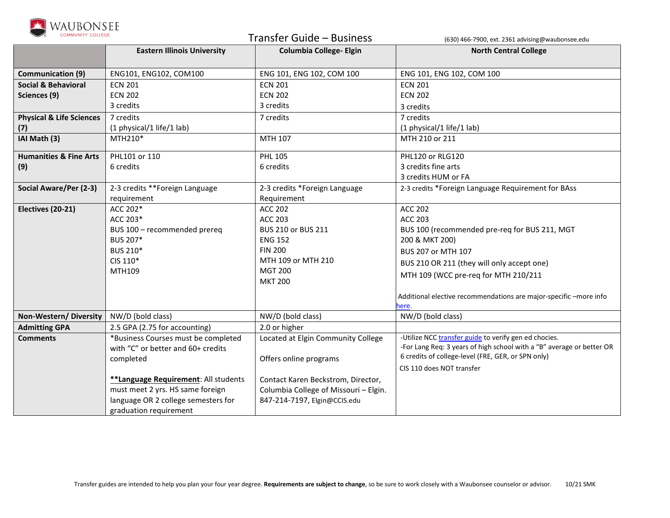

| <b>COMMUNITY COLLEGE</b>            |                                      | Transfer Guide - Business             | (630) 466-7900, ext. 2361 advising@waubonsee.edu                      |
|-------------------------------------|--------------------------------------|---------------------------------------|-----------------------------------------------------------------------|
|                                     | <b>Eastern Illinois University</b>   | <b>Columbia College- Elgin</b>        | <b>North Central College</b>                                          |
|                                     |                                      |                                       |                                                                       |
| Communication (9)                   | ENG101, ENG102, COM100               | ENG 101, ENG 102, COM 100             | ENG 101, ENG 102, COM 100                                             |
| <b>Social &amp; Behavioral</b>      | <b>ECN 201</b>                       | <b>ECN 201</b>                        | <b>ECN 201</b>                                                        |
| Sciences (9)                        | <b>ECN 202</b>                       | <b>ECN 202</b>                        | <b>ECN 202</b>                                                        |
|                                     | 3 credits                            | 3 credits                             | 3 credits                                                             |
| <b>Physical &amp; Life Sciences</b> | 7 credits                            | 7 credits                             | 7 credits                                                             |
| (7)                                 | (1 physical/1 life/1 lab)            |                                       | (1 physical/1 life/1 lab)                                             |
| IAI Math (3)                        | MTH210*                              | MTH 107                               | MTH 210 or 211                                                        |
| <b>Humanities &amp; Fine Arts</b>   | PHL101 or 110                        | <b>PHL 105</b>                        | PHL120 or RLG120                                                      |
| (9)                                 | 6 credits                            | 6 credits                             | 3 credits fine arts                                                   |
|                                     |                                      |                                       | 3 credits HUM or FA                                                   |
| Social Aware/Per (2-3)              | 2-3 credits **Foreign Language       | 2-3 credits *Foreign Language         | 2-3 credits *Foreign Language Requirement for BAss                    |
|                                     | requirement                          | Requirement                           |                                                                       |
| Electives (20-21)                   | ACC 202*                             | <b>ACC 202</b>                        | <b>ACC 202</b>                                                        |
|                                     | ACC 203*                             | <b>ACC 203</b>                        | <b>ACC 203</b>                                                        |
|                                     | BUS 100 - recommended prereq         | BUS 210 or BUS 211                    | BUS 100 (recommended pre-req for BUS 211, MGT                         |
|                                     | BUS 207*                             | <b>ENG 152</b>                        | 200 & MKT 200)                                                        |
|                                     | BUS 210*                             | <b>FIN 200</b>                        | BUS 207 or MTH 107                                                    |
|                                     | CIS 110*                             | MTH 109 or MTH 210                    | BUS 210 OR 211 (they will only accept one)                            |
|                                     | MTH109                               | <b>MGT 200</b>                        | MTH 109 (WCC pre-req for MTH 210/211                                  |
|                                     |                                      | <b>MKT 200</b>                        |                                                                       |
|                                     |                                      |                                       | Additional elective recommendations are major-specific -more info     |
|                                     |                                      |                                       | ere.                                                                  |
| Non-Western/Diversity               | NW/D (bold class)                    | NW/D (bold class)                     | NW/D (bold class)                                                     |
| <b>Admitting GPA</b>                | 2.5 GPA (2.75 for accounting)        | 2.0 or higher                         |                                                                       |
| <b>Comments</b>                     | *Business Courses must be completed  | Located at Elgin Community College    | -Utilize NCC transfer guide to verify gen ed chocies.                 |
|                                     | with "C" or better and 60+ credits   |                                       | -For Lang Req: 3 years of high school with a "B" average or better OR |
|                                     | completed                            | Offers online programs                | 6 credits of college-level (FRE, GER, or SPN only)                    |
|                                     |                                      |                                       | CIS 110 does NOT transfer                                             |
|                                     | **Language Requirement: All students | Contact Karen Beckstrom, Director,    |                                                                       |
|                                     | must meet 2 yrs. HS same foreign     | Columbia College of Missouri - Elgin. |                                                                       |
|                                     | language OR 2 college semesters for  | 847-214-7197, Elgin@CCIS.edu          |                                                                       |
|                                     | graduation requirement               |                                       |                                                                       |